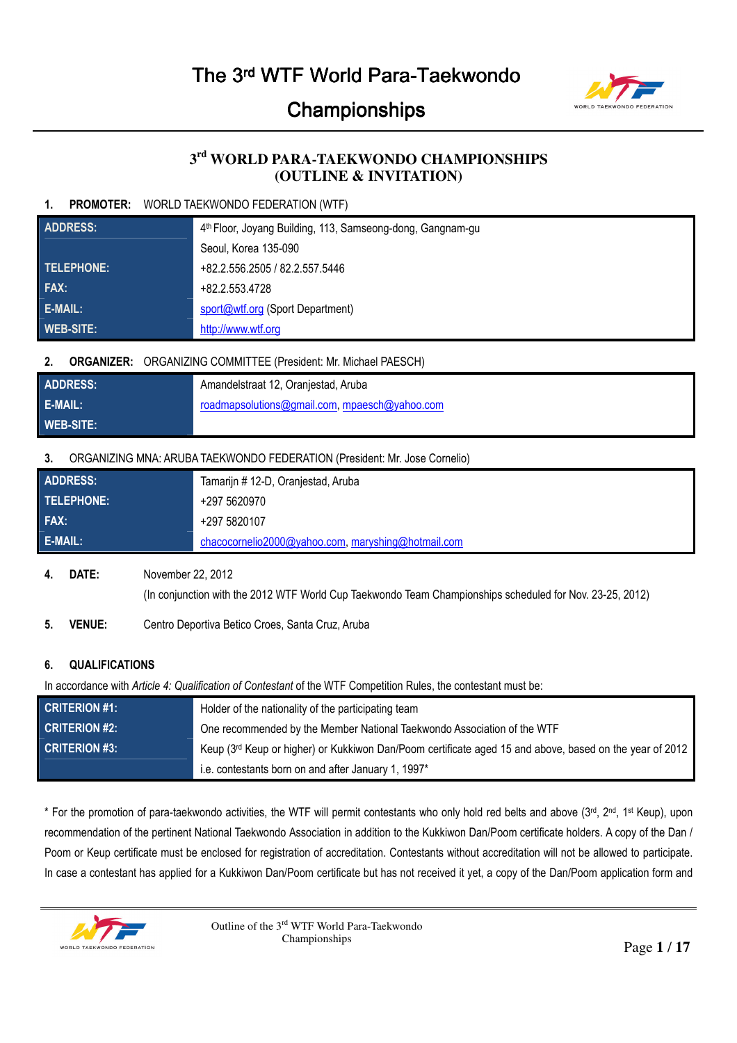

## **3 rd WORLD PARA-TAEKWONDO CHAMPIONSHIPS (OUTLINE & INVITATION)**

## **1. PROMOTER:** WORLD TAEKWONDO FEDERATION (WTF)

| <b>ADDRESS:</b>  | 4 <sup>th</sup> Floor, Joyang Building, 113, Samseong-dong, Gangnam-gu |  |
|------------------|------------------------------------------------------------------------|--|
|                  | Seoul, Korea 135-090                                                   |  |
| TELEPHONE:       | +82.2.556.2505 / 82.2.557.5446                                         |  |
| FAX:             | +82.2.553.4728                                                         |  |
| E-MAIL:          | sport@wtf.org (Sport Department)                                       |  |
| <b>WEB-SITE:</b> | http://www.wtf.org                                                     |  |

## **2. ORGANIZER:** ORGANIZING COMMITTEE (President: Mr. Michael PAESCH)

| <b>ADDRESS:</b>  | Amandelstraat 12, Oranjestad, Aruba           |
|------------------|-----------------------------------------------|
| E-MAIL:          | roadmapsolutions@gmail.com, mpaesch@yahoo.com |
| <b>WEB-SITE:</b> |                                               |

## **3.** ORGANIZING MNA: ARUBA TAEKWONDO FEDERATION (President: Mr. Jose Cornelio)

| ADDRESS:       | Tamarijn # 12-D, Oranjestad, Aruba                 |  |
|----------------|----------------------------------------------------|--|
| i telephone: ' | +297 5620970                                       |  |
| FAX:           | +297 5820107                                       |  |
| E-MAIL:        | chacocornelio2000@yahoo.com, maryshing@hotmail.com |  |

### **4. DATE:** November 22, 2012

(In conjunction with the 2012 WTF World Cup Taekwondo Team Championships scheduled for Nov. 23-25, 2012)

## **5. VENUE:** Centro Deportiva Betico Croes, Santa Cruz, Aruba

## **6. QUALIFICATIONS**

In accordance with *Article 4: Qualification of Contestant* of the WTF Competition Rules, the contestant must be:

| <b>CRITERION #1:</b> | Holder of the nationality of the participating team                                                     |  |
|----------------------|---------------------------------------------------------------------------------------------------------|--|
| <b>CRITERION #2:</b> | One recommended by the Member National Taekwondo Association of the WTF                                 |  |
| <b>CRITERION #3:</b> | Keup (3rd Keup or higher) or Kukkiwon Dan/Poom certificate aged 15 and above, based on the year of 2012 |  |
|                      | i.e. contestants born on and after January 1, 1997*                                                     |  |

\* For the promotion of para-taekwondo activities, the WTF will permit contestants who only hold red belts and above (3<sup>rd</sup>, 2<sup>nd</sup>, 1<sup>st</sup> Keup), upon recommendation of the pertinent National Taekwondo Association in addition to the Kukkiwon Dan/Poom certificate holders. A copy of the Dan / Poom or Keup certificate must be enclosed for registration of accreditation. Contestants without accreditation will not be allowed to participate. In case a contestant has applied for a Kukkiwon Dan/Poom certificate but has not received it yet, a copy of the Dan/Poom application form and

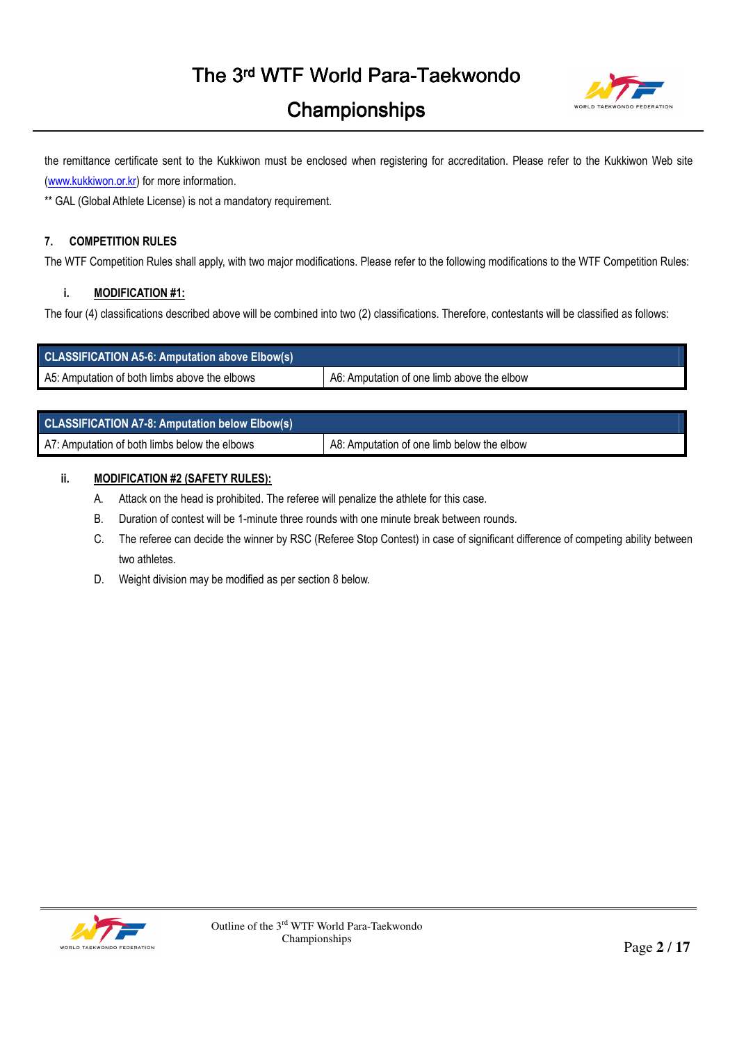

the remittance certificate sent to the Kukkiwon must be enclosed when registering for accreditation. Please refer to the Kukkiwon Web site (www.kukkiwon.or.kr) for more information.

\*\* GAL (Global Athlete License) is not a mandatory requirement.

### **7. COMPETITION RULES**

The WTF Competition Rules shall apply, with two major modifications. Please refer to the following modifications to the WTF Competition Rules:

## **i. MODIFICATION #1:**

The four (4) classifications described above will be combined into two (2) classifications. Therefore, contestants will be classified as follows:

| <b>CLASSIFICATION A5-6: Amputation above Elbow(s)</b> |                                            |
|-------------------------------------------------------|--------------------------------------------|
| A5: Amputation of both limbs above the elbows         | A6: Amputation of one limb above the elbow |

| <b>CLASSIFICATION A7-8: Amputation below Elbow(s)</b> |                                            |
|-------------------------------------------------------|--------------------------------------------|
| A7: Amputation of both limbs below the elbows         | A8: Amputation of one limb below the elbow |

### **ii. MODIFICATION #2 (SAFETY RULES):**

- A. Attack on the head is prohibited. The referee will penalize the athlete for this case.
- B. Duration of contest will be 1-minute three rounds with one minute break between rounds.
- C. The referee can decide the winner by RSC (Referee Stop Contest) in case of significant difference of competing ability between two athletes.
- D. Weight division may be modified as per section 8 below.

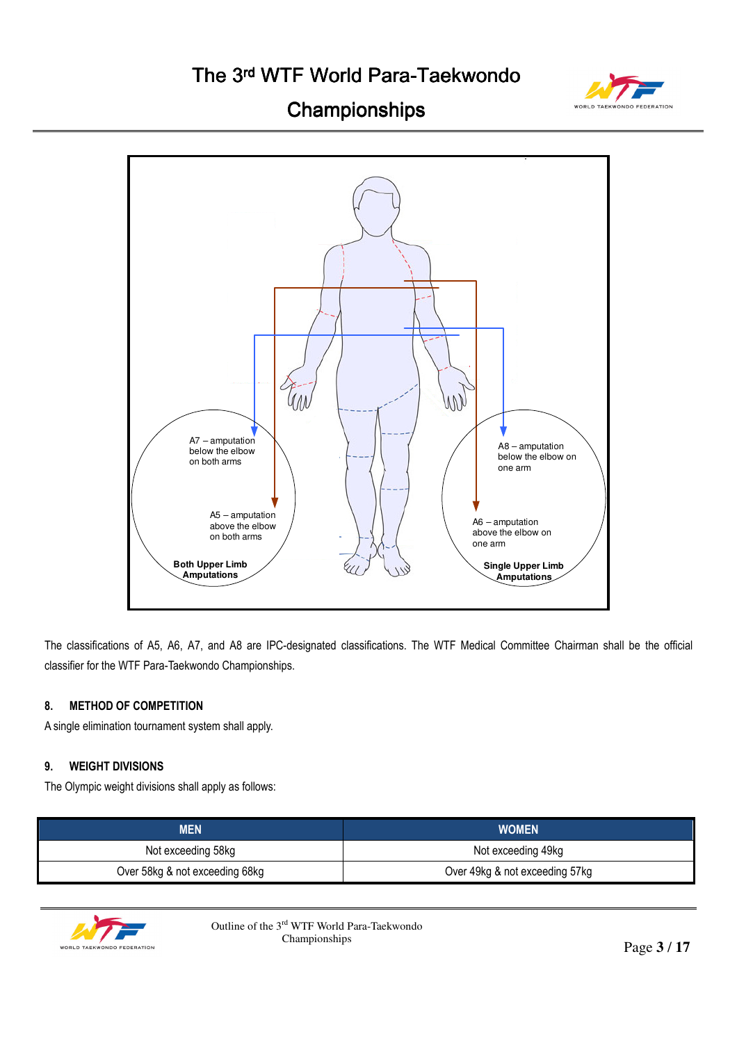# The 3rd WTF World Para-Taekwondo



# **Championships**



The classifications of A5, A6, A7, and A8 are IPC-designated classifications. The WTF Medical Committee Chairman shall be the official classifier for the WTF Para-Taekwondo Championships.

### **8. METHOD OF COMPETITION**

A single elimination tournament system shall apply.

### **9. WEIGHT DIVISIONS**

The Olympic weight divisions shall apply as follows:

| <b>MEN</b>                     | <b>WOMEN</b>                   |
|--------------------------------|--------------------------------|
| Not exceeding 58kg             | Not exceeding 49kg             |
| Over 58kg & not exceeding 68kg | Over 49kg & not exceeding 57kg |



Outline of the  $3^{\text{rd}}$  WTF World Para-Taekwondo<br>Championships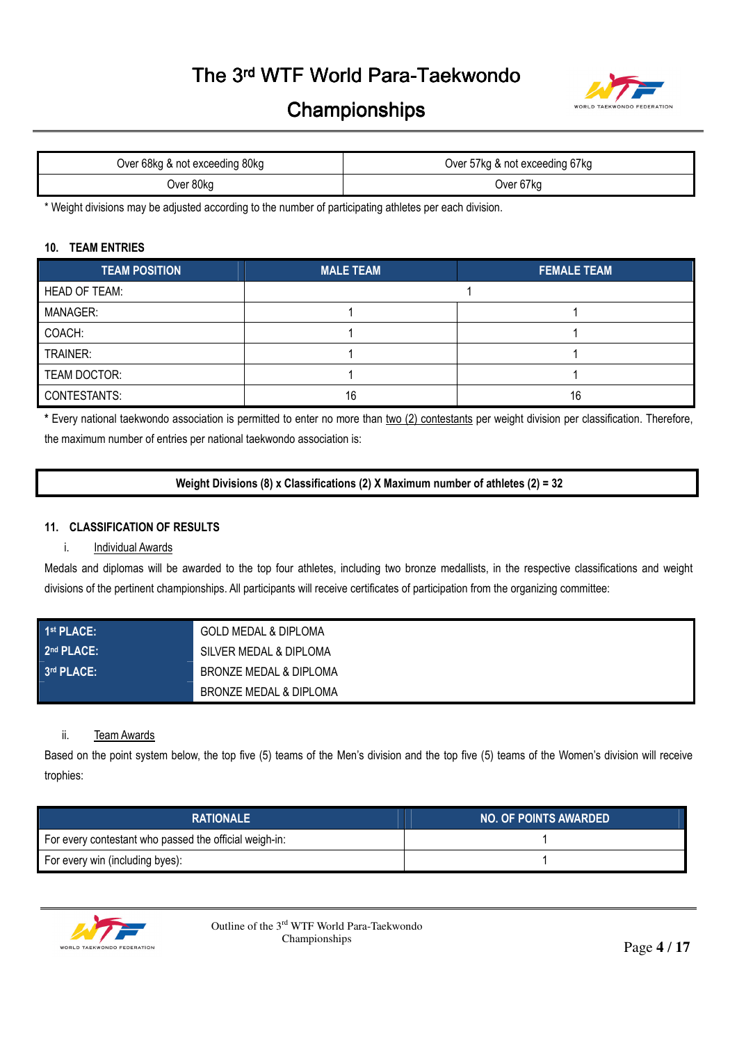# The 3rd WTF World Para-Taekwondo



# **Championships**

| Over 68kg & not exceeding 80kg | Over 57kg & not exceeding 67kg |
|--------------------------------|--------------------------------|
| Over 80kg                      | Over 67kg                      |

\* Weight divisions may be adjusted according to the number of participating athletes per each division.

#### **10. TEAM ENTRIES**

| <b>TEAM POSITION</b> | <b>MALE TEAM</b> | <b>FEMALE TEAM</b> |
|----------------------|------------------|--------------------|
| <b>HEAD OF TEAM:</b> |                  |                    |
| <b>MANAGER:</b>      |                  |                    |
| COACH:               |                  |                    |
| TRAINER:             |                  |                    |
| TEAM DOCTOR:         |                  |                    |
| CONTESTANTS:         | 16               | 16                 |

**\*** Every national taekwondo association is permitted to enter no more than two (2) contestants per weight division per classification. Therefore, the maximum number of entries per national taekwondo association is:

**Weight Divisions (8) x Classifications (2) X Maximum number of athletes (2) = 32** 

### **11. CLASSIFICATION OF RESULTS**

#### i. Individual Awards

Medals and diplomas will be awarded to the top four athletes, including two bronze medallists, in the respective classifications and weight divisions of the pertinent championships. All participants will receive certificates of participation from the organizing committee:

| 1 <sup>st</sup> PLACE: | GOLD MEDAL & DIPLOMA   |
|------------------------|------------------------|
| 2 <sup>nd</sup> PLACE: | SILVER MEDAL & DIPLOMA |
| 3rd PLACE:             | BRONZE MEDAL & DIPLOMA |
|                        | BRONZE MEDAL & DIPLOMA |

#### ii. Team Awards

Based on the point system below, the top five (5) teams of the Men's division and the top five (5) teams of the Women's division will receive trophies:

| <b>RATIONALE</b>                                       | <b>NO. OF POINTS AWARDED</b> |
|--------------------------------------------------------|------------------------------|
| For every contestant who passed the official weigh-in: |                              |
| For every win (including byes):                        |                              |



Outline of the 3<sup>rd</sup> WTF World Para-Taekwondo<br>Championships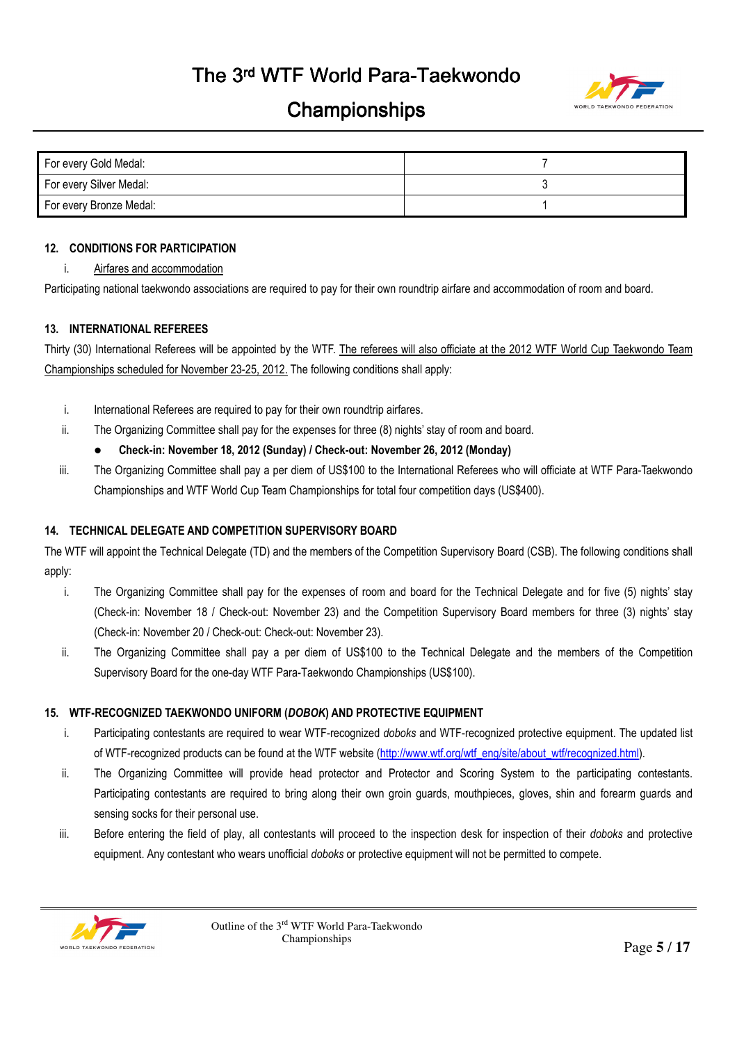

| For every Gold Medal:   |  |
|-------------------------|--|
| For every Silver Medal: |  |
| For every Bronze Medal: |  |

### **12. CONDITIONS FOR PARTICIPATION**

i. Airfares and accommodation

Participating national taekwondo associations are required to pay for their own roundtrip airfare and accommodation of room and board.

### **13. INTERNATIONAL REFEREES**

Thirty (30) International Referees will be appointed by the WTF. The referees will also officiate at the 2012 WTF World Cup Taekwondo Team Championships scheduled for November 23-25, 2012. The following conditions shall apply:

- i. International Referees are required to pay for their own roundtrip airfares.
- ii. The Organizing Committee shall pay for the expenses for three (8) nights' stay of room and board.
	- **Check-in: November 18, 2012 (Sunday) / Check-out: November 26, 2012 (Monday)**
- iii. The Organizing Committee shall pay a per diem of US\$100 to the International Referees who will officiate at WTF Para-Taekwondo Championships and WTF World Cup Team Championships for total four competition days (US\$400).

## **14. TECHNICAL DELEGATE AND COMPETITION SUPERVISORY BOARD**

The WTF will appoint the Technical Delegate (TD) and the members of the Competition Supervisory Board (CSB). The following conditions shall apply:

- i. The Organizing Committee shall pay for the expenses of room and board for the Technical Delegate and for five (5) nights' stay (Check-in: November 18 / Check-out: November 23) and the Competition Supervisory Board members for three (3) nights' stay (Check-in: November 20 / Check-out: Check-out: November 23).
- ii. The Organizing Committee shall pay a per diem of US\$100 to the Technical Delegate and the members of the Competition Supervisory Board for the one-day WTF Para-Taekwondo Championships (US\$100).

## **15. WTF-RECOGNIZED TAEKWONDO UNIFORM (***DOBOK***) AND PROTECTIVE EQUIPMENT**

- i. Participating contestants are required to wear WTF-recognized *doboks* and WTF-recognized protective equipment. The updated list of WTF-recognized products can be found at the WTF website (http://www.wtf.org/wtf\_eng/site/about\_wtf/recognized.html).
- ii. The Organizing Committee will provide head protector and Protector and Scoring System to the participating contestants. Participating contestants are required to bring along their own groin guards, mouthpieces, gloves, shin and forearm guards and sensing socks for their personal use.
- iii. Before entering the field of play, all contestants will proceed to the inspection desk for inspection of their *doboks* and protective equipment. Any contestant who wears unofficial *doboks* or protective equipment will not be permitted to compete.

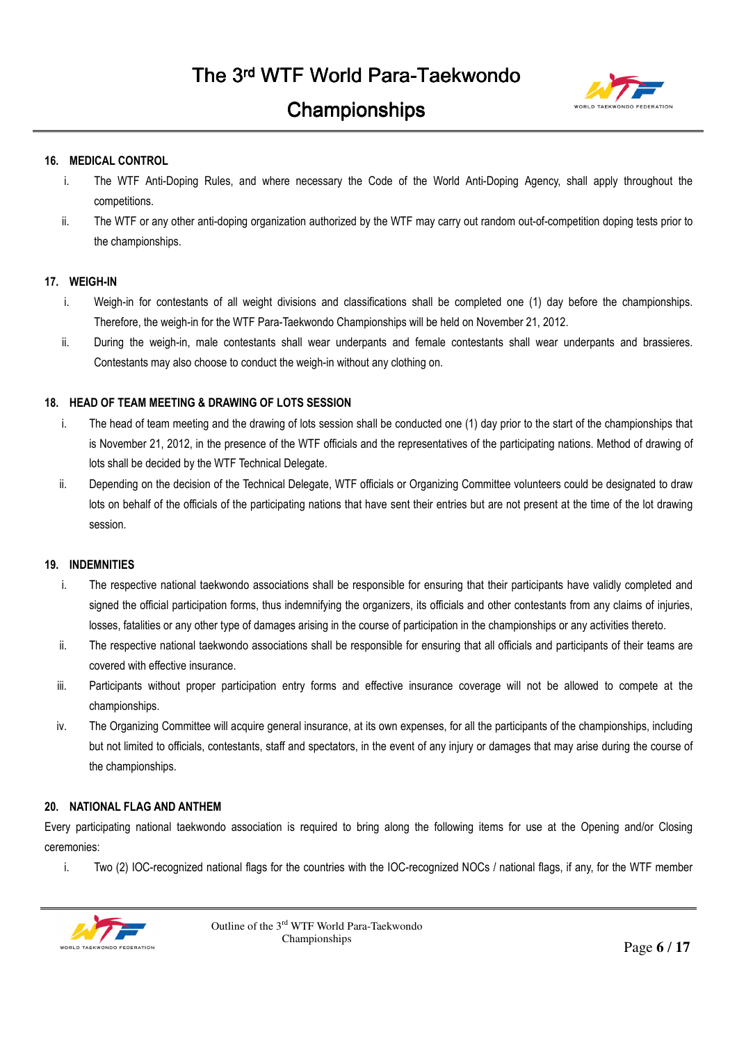

### **16. MEDICAL CONTROL**

- i. The WTF Anti-Doping Rules, and where necessary the Code of the World Anti-Doping Agency, shall apply throughout the competitions.
- ii. The WTF or any other anti-doping organization authorized by the WTF may carry out random out-of-competition doping tests prior to the championships.

### **17. WEIGH-IN**

- i. Weigh-in for contestants of all weight divisions and classifications shall be completed one (1) day before the championships. Therefore, the weigh-in for the WTF Para-Taekwondo Championships will be held on November 21, 2012.
- ii. During the weigh-in, male contestants shall wear underpants and female contestants shall wear underpants and brassieres. Contestants may also choose to conduct the weigh-in without any clothing on.

### **18. HEAD OF TEAM MEETING & DRAWING OF LOTS SESSION**

- i. The head of team meeting and the drawing of lots session shall be conducted one (1) day prior to the start of the championships that is November 21, 2012, in the presence of the WTF officials and the representatives of the participating nations. Method of drawing of lots shall be decided by the WTF Technical Delegate.
- ii. Depending on the decision of the Technical Delegate, WTF officials or Organizing Committee volunteers could be designated to draw lots on behalf of the officials of the participating nations that have sent their entries but are not present at the time of the lot drawing session.

### **19. INDEMNITIES**

- i. The respective national taekwondo associations shall be responsible for ensuring that their participants have validly completed and signed the official participation forms, thus indemnifying the organizers, its officials and other contestants from any claims of injuries, losses, fatalities or any other type of damages arising in the course of participation in the championships or any activities thereto.
- ii. The respective national taekwondo associations shall be responsible for ensuring that all officials and participants of their teams are covered with effective insurance.
- iii. Participants without proper participation entry forms and effective insurance coverage will not be allowed to compete at the championships.
- iv. The Organizing Committee will acquire general insurance, at its own expenses, for all the participants of the championships, including but not limited to officials, contestants, staff and spectators, in the event of any injury or damages that may arise during the course of the championships.

### **20. NATIONAL FLAG AND ANTHEM**

Every participating national taekwondo association is required to bring along the following items for use at the Opening and/or Closing ceremonies:

i. Two (2) IOC-recognized national flags for the countries with the IOC-recognized NOCs / national flags, if any, for the WTF member

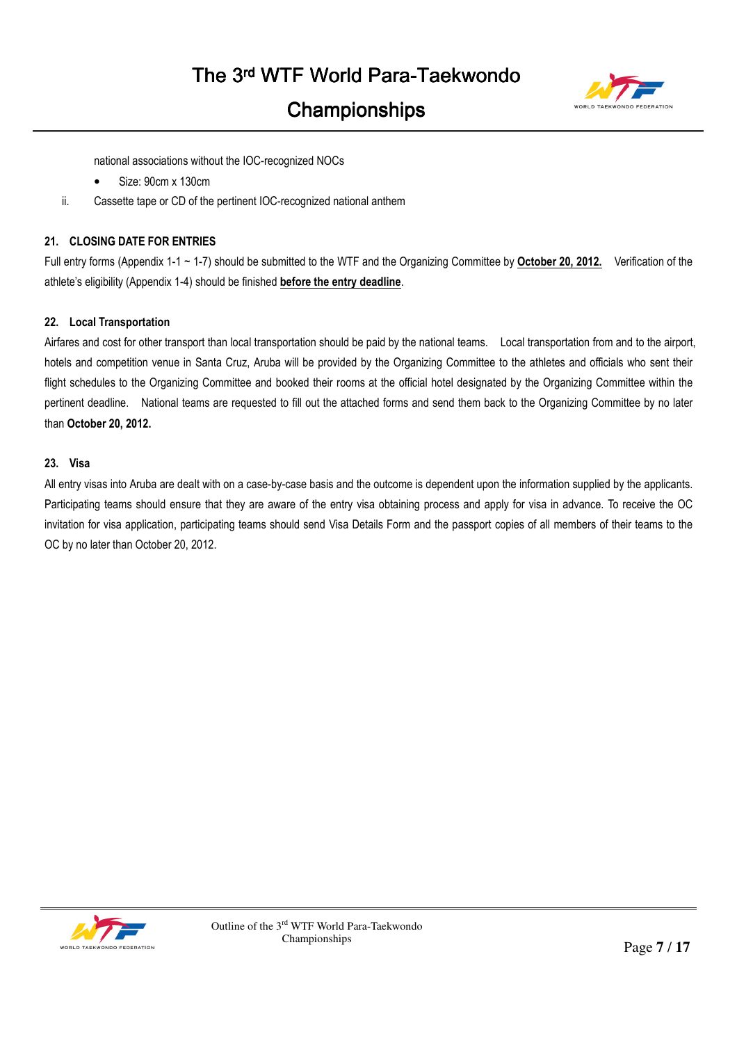

national associations without the IOC-recognized NOCs

- Size: 90cm x 130cm
- ii. Cassette tape or CD of the pertinent IOC-recognized national anthem

### **21. CLOSING DATE FOR ENTRIES**

Full entry forms (Appendix 1-1 ~ 1-7) should be submitted to the WTF and the Organizing Committee by **October 20, 2012.** Verification of the athlete's eligibility (Appendix 1-4) should be finished **before the entry deadline**.

### **22. Local Transportation**

Airfares and cost for other transport than local transportation should be paid by the national teams. Local transportation from and to the airport, hotels and competition venue in Santa Cruz, Aruba will be provided by the Organizing Committee to the athletes and officials who sent their flight schedules to the Organizing Committee and booked their rooms at the official hotel designated by the Organizing Committee within the pertinent deadline. National teams are requested to fill out the attached forms and send them back to the Organizing Committee by no later than **October 20, 2012.**

#### **23. Visa**

All entry visas into Aruba are dealt with on a case-by-case basis and the outcome is dependent upon the information supplied by the applicants. Participating teams should ensure that they are aware of the entry visa obtaining process and apply for visa in advance. To receive the OC invitation for visa application, participating teams should send Visa Details Form and the passport copies of all members of their teams to the OC by no later than October 20, 2012.

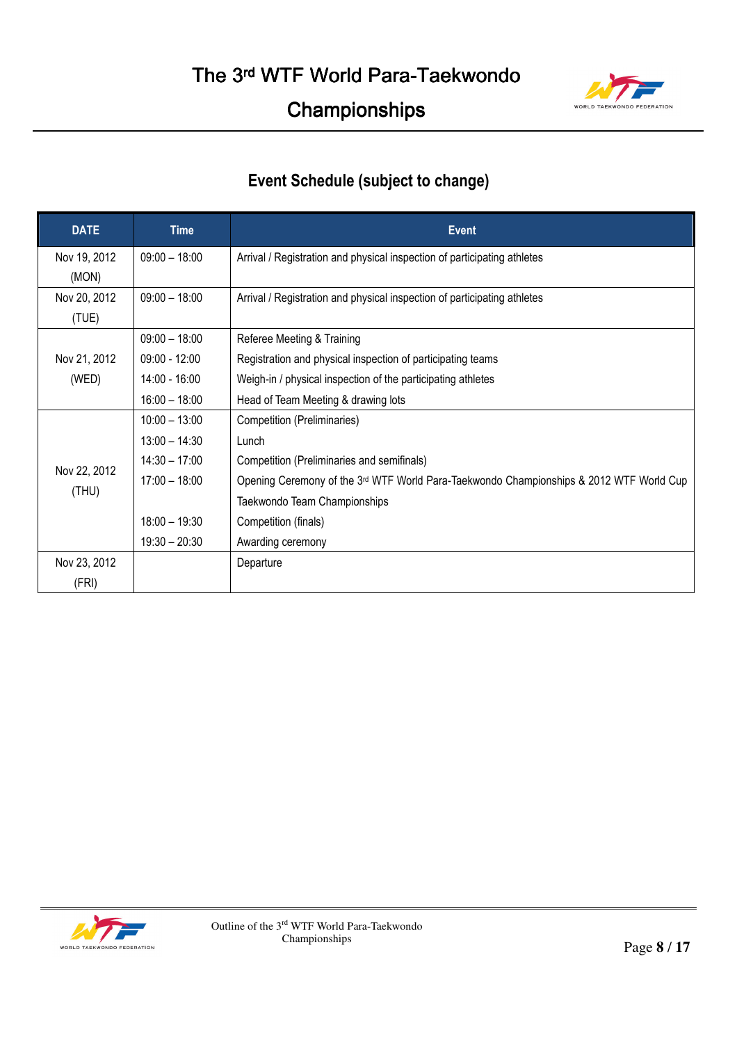

# **Event Schedule (subject to change)**

| <b>DATE</b>           | <b>Time</b>     | <b>Event</b>                                                                                        |  |  |  |
|-----------------------|-----------------|-----------------------------------------------------------------------------------------------------|--|--|--|
| Nov 19, 2012<br>(MON) | $09:00 - 18:00$ | Arrival / Registration and physical inspection of participating athletes                            |  |  |  |
| Nov 20, 2012<br>(TUE) | $09:00 - 18:00$ | Arrival / Registration and physical inspection of participating athletes                            |  |  |  |
|                       | $09:00 - 18:00$ | Referee Meeting & Training                                                                          |  |  |  |
| Nov 21, 2012          | $09:00 - 12:00$ | Registration and physical inspection of participating teams                                         |  |  |  |
| (WED)                 | 14:00 - 16:00   | Weigh-in / physical inspection of the participating athletes                                        |  |  |  |
|                       | $16:00 - 18:00$ | Head of Team Meeting & drawing lots                                                                 |  |  |  |
|                       | $10:00 - 13:00$ | Competition (Preliminaries)                                                                         |  |  |  |
|                       | $13:00 - 14:30$ | Lunch                                                                                               |  |  |  |
|                       | $14:30 - 17:00$ | Competition (Preliminaries and semifinals)                                                          |  |  |  |
| Nov 22, 2012          | $17:00 - 18:00$ | Opening Ceremony of the 3 <sup>rd</sup> WTF World Para-Taekwondo Championships & 2012 WTF World Cup |  |  |  |
| (THU)                 |                 | Taekwondo Team Championships                                                                        |  |  |  |
|                       | $18:00 - 19:30$ | Competition (finals)                                                                                |  |  |  |
|                       | $19:30 - 20:30$ | Awarding ceremony                                                                                   |  |  |  |
| Nov 23, 2012          |                 | Departure                                                                                           |  |  |  |
| (FRI)                 |                 |                                                                                                     |  |  |  |

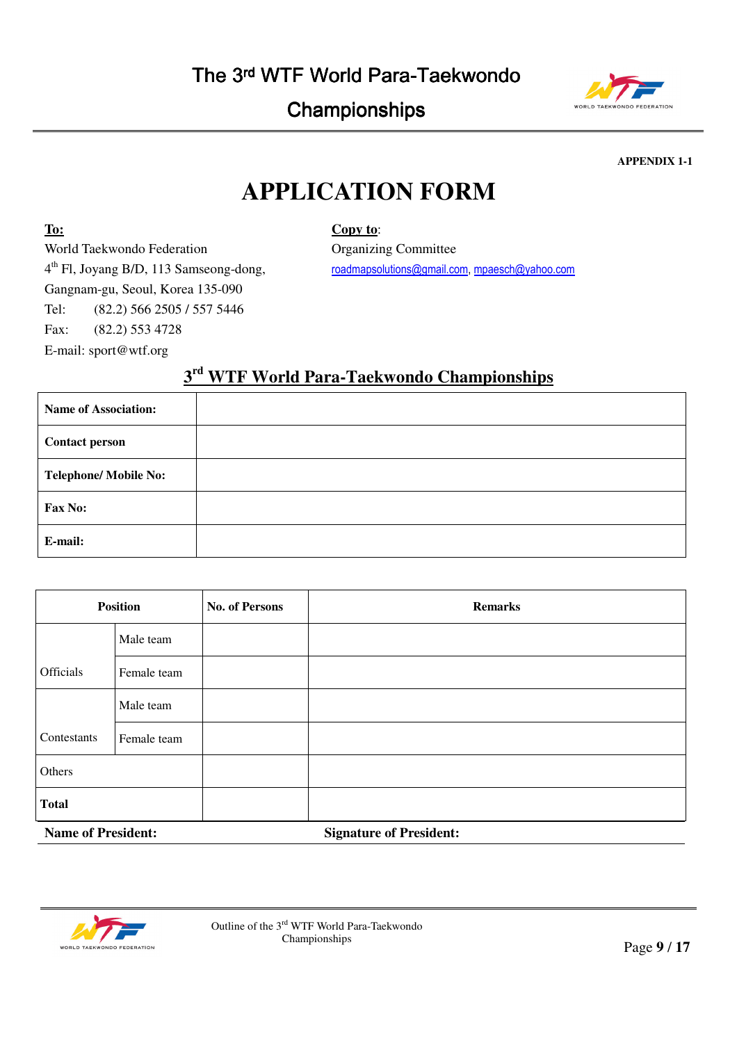|  | The 3 <sup>rd</sup> WTF World Para-Taekwondo |  |
|--|----------------------------------------------|--|
|--|----------------------------------------------|--|



**APPENDIX 1-1** 

# **APPLICATION FORM**

## **Copy to**:

World Taekwondo Federation 4 th Fl, Joyang B/D, 113 Samseong-dong, Gangnam-gu, Seoul, Korea 135-090 Tel: (82.2) 566 2505 / 557 5446 Fax: (82.2) 553 4728 E-mail: sport@wtf.org

**To:**

Organizing Committee roadmapsolutions@gmail.com, mpaesch@yahoo.com

# **3 rd WTF World Para-Taekwondo Championships**

| <b>Name of Association:</b>  |  |
|------------------------------|--|
| <b>Contact person</b>        |  |
| <b>Telephone/ Mobile No:</b> |  |
| Fax No:                      |  |
| E-mail:                      |  |

| <b>Position</b>           |             | <b>No. of Persons</b> | <b>Remarks</b>                 |
|---------------------------|-------------|-----------------------|--------------------------------|
|                           | Male team   |                       |                                |
| Officials                 | Female team |                       |                                |
|                           | Male team   |                       |                                |
| Contestants               | Female team |                       |                                |
| Others                    |             |                       |                                |
| <b>Total</b>              |             |                       |                                |
| <b>Name of President:</b> |             |                       | <b>Signature of President:</b> |

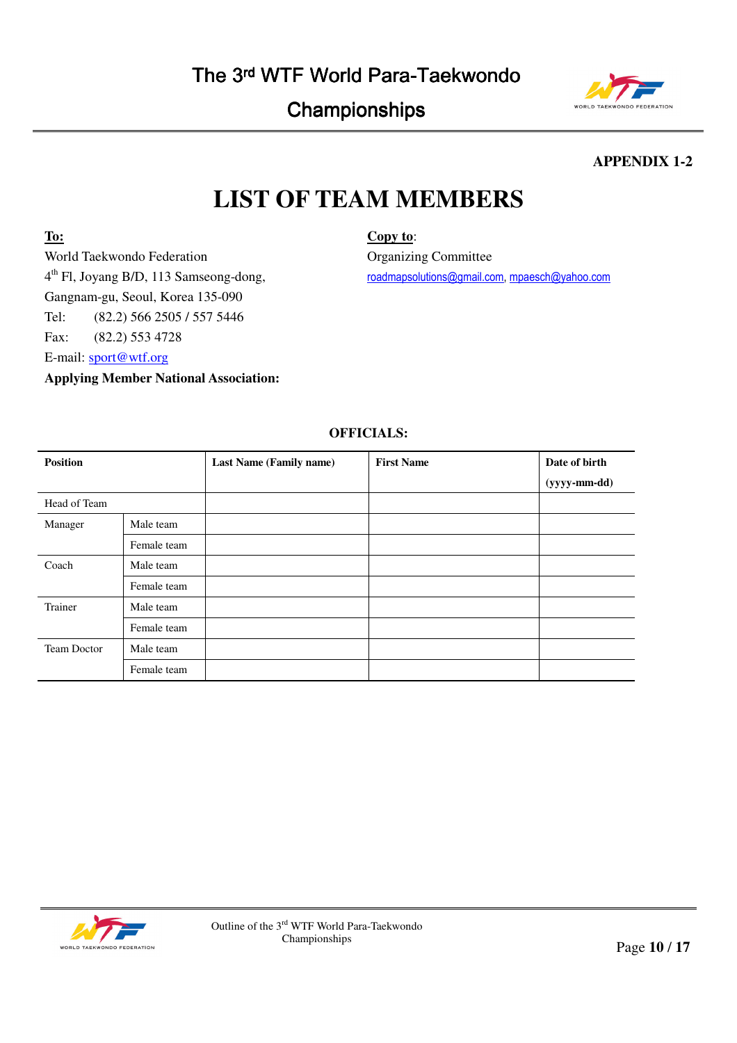# The 3rd WTF World Para-Taekwondo

# Championships



**APPENDIX 1-2** 

# **LIST OF TEAM MEMBERS**

**To:**

World Taekwondo Federation 4 th Fl, Joyang B/D, 113 Samseong-dong, Gangnam-gu, Seoul, Korea 135-090 Tel: (82.2) 566 2505 / 557 5446 Fax: (82.2) 553 4728 E-mail: sport@wtf.org

**Applying Member National Association:** 

**Copy to**:

Organizing Committee roadmapsolutions@gmail.com, mpaesch@yahoo.com

## **OFFICIALS:**

| <b>Position</b> |             | Last Name (Family name) | <b>First Name</b> | Date of birth |
|-----------------|-------------|-------------------------|-------------------|---------------|
|                 |             |                         |                   | (yyyy-mm-dd)  |
| Head of Team    |             |                         |                   |               |
| Manager         | Male team   |                         |                   |               |
|                 | Female team |                         |                   |               |
| Coach           | Male team   |                         |                   |               |
|                 | Female team |                         |                   |               |
| Trainer         | Male team   |                         |                   |               |
|                 | Female team |                         |                   |               |
| Team Doctor     | Male team   |                         |                   |               |
|                 | Female team |                         |                   |               |

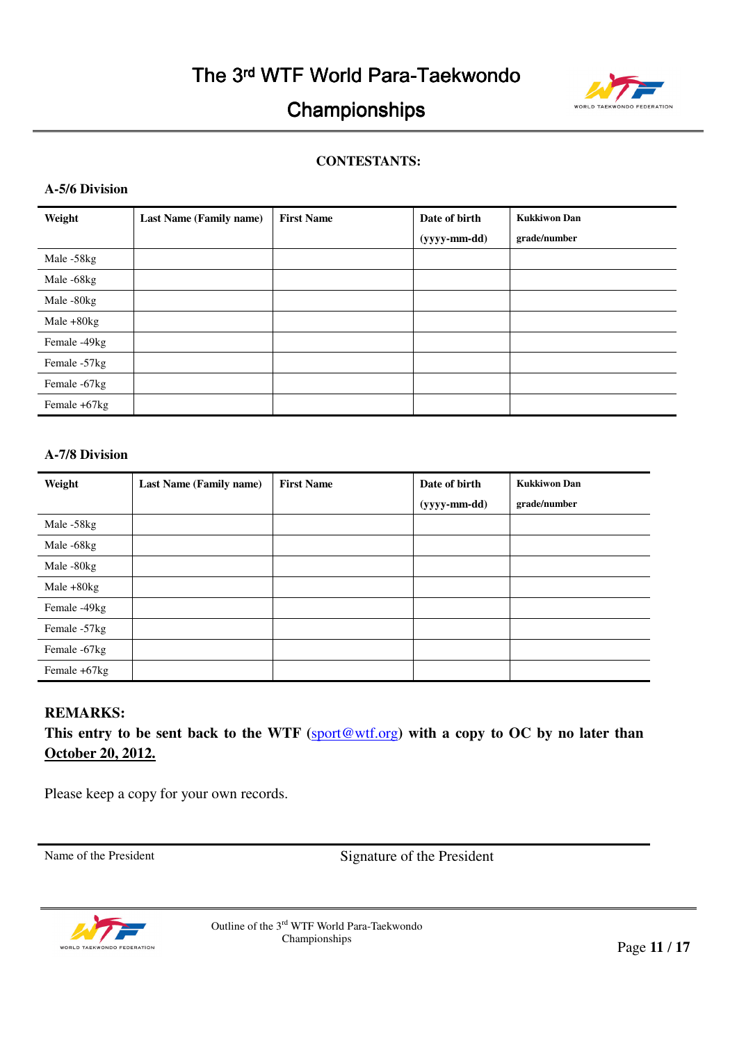

## **CONTESTANTS:**

## **A-5/6 Division**

| Weight       | Last Name (Family name) | <b>First Name</b> | Date of birth      | <b>Kukkiwon Dan</b> |
|--------------|-------------------------|-------------------|--------------------|---------------------|
|              |                         |                   | $(yyyy$ -mm-dd $)$ | grade/number        |
| Male -58kg   |                         |                   |                    |                     |
| Male -68kg   |                         |                   |                    |                     |
| Male -80kg   |                         |                   |                    |                     |
| Male $+80kg$ |                         |                   |                    |                     |
| Female -49kg |                         |                   |                    |                     |
| Female -57kg |                         |                   |                    |                     |
| Female -67kg |                         |                   |                    |                     |
| Female +67kg |                         |                   |                    |                     |

## **A-7/8 Division**

| Weight       | <b>Last Name (Family name)</b> | <b>First Name</b> | Date of birth      | <b>Kukkiwon Dan</b> |
|--------------|--------------------------------|-------------------|--------------------|---------------------|
|              |                                |                   | $(yyyy$ -mm-dd $)$ | grade/number        |
| Male -58kg   |                                |                   |                    |                     |
| Male -68kg   |                                |                   |                    |                     |
| Male -80kg   |                                |                   |                    |                     |
| Male $+80kg$ |                                |                   |                    |                     |
| Female -49kg |                                |                   |                    |                     |
| Female -57kg |                                |                   |                    |                     |
| Female -67kg |                                |                   |                    |                     |
| Female +67kg |                                |                   |                    |                     |

## **REMARKS:**

This entry to be sent back to the WTF (sport@wtf.org) with a copy to OC by no later than **October 20, 2012.**

Please keep a copy for your own records.

Name of the President Signature of the President



Outline of the  $3<sup>rd</sup>$  WTF World Para-Taekwondo<br>Championships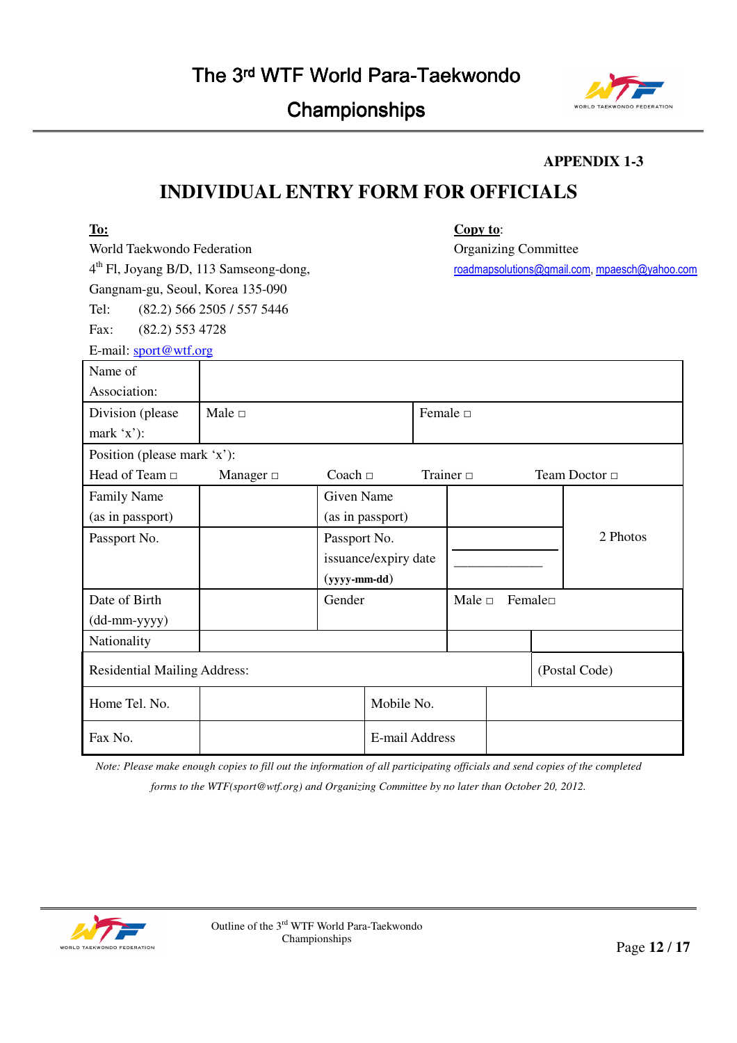

## **APPENDIX 1-3**

# **INDIVIDUAL ENTRY FORM FOR OFFICIALS**

| To:                                 |                                                    |                   |                      | Copy to:       |                             |        |                                               |
|-------------------------------------|----------------------------------------------------|-------------------|----------------------|----------------|-----------------------------|--------|-----------------------------------------------|
| World Taekwondo Federation          |                                                    |                   |                      |                | <b>Organizing Committee</b> |        |                                               |
|                                     | 4 <sup>th</sup> Fl, Joyang B/D, 113 Samseong-dong, |                   |                      |                |                             |        | roadmapsolutions@gmail.com, mpaesch@yahoo.com |
| Gangnam-gu, Seoul, Korea 135-090    |                                                    |                   |                      |                |                             |        |                                               |
| Tel:                                | (82.2) 566 2505 / 557 5446                         |                   |                      |                |                             |        |                                               |
| $(82.2)$ 553 4728<br>Fax:           |                                                    |                   |                      |                |                             |        |                                               |
| E-mail: sport@wtf.org               |                                                    |                   |                      |                |                             |        |                                               |
| Name of                             |                                                    |                   |                      |                |                             |        |                                               |
| Association:                        |                                                    |                   |                      |                |                             |        |                                               |
| Division (please                    | Male $\Box$                                        |                   |                      | Female $\Box$  |                             |        |                                               |
| mark $x$ ):                         |                                                    |                   |                      |                |                             |        |                                               |
| Position (please mark 'x'):         |                                                    |                   |                      |                |                             |        |                                               |
| Head of Team □                      | Manager $\Box$                                     | Coach $\Box$      |                      | Trainer $\Box$ |                             |        | Team Doctor □                                 |
| <b>Family Name</b>                  |                                                    | <b>Given Name</b> |                      |                |                             |        |                                               |
| (as in passport)                    |                                                    |                   | (as in passport)     |                |                             |        |                                               |
| Passport No.                        |                                                    | Passport No.      |                      |                |                             |        | 2 Photos                                      |
|                                     |                                                    |                   | issuance/expiry date |                |                             |        |                                               |
|                                     |                                                    | $(yyyy-mm-dd)$    |                      |                |                             |        |                                               |
| Date of Birth                       |                                                    | Gender            |                      | Male $\Box$    |                             | Female |                                               |
| (dd-mm-yyyy)                        |                                                    |                   |                      |                |                             |        |                                               |
| Nationality                         |                                                    |                   |                      |                |                             |        |                                               |
| <b>Residential Mailing Address:</b> |                                                    |                   |                      |                |                             |        | (Postal Code)                                 |
| Home Tel. No.                       |                                                    |                   | Mobile No.           |                |                             |        |                                               |
| Fax No.                             |                                                    |                   | E-mail Address       |                |                             |        |                                               |

*Note: Please make enough copies to fill out the information of all participating officials and send copies of the completed* 

*forms to the WTF(sport@wtf.org) and Organizing Committee by no later than October 20, 2012.* 

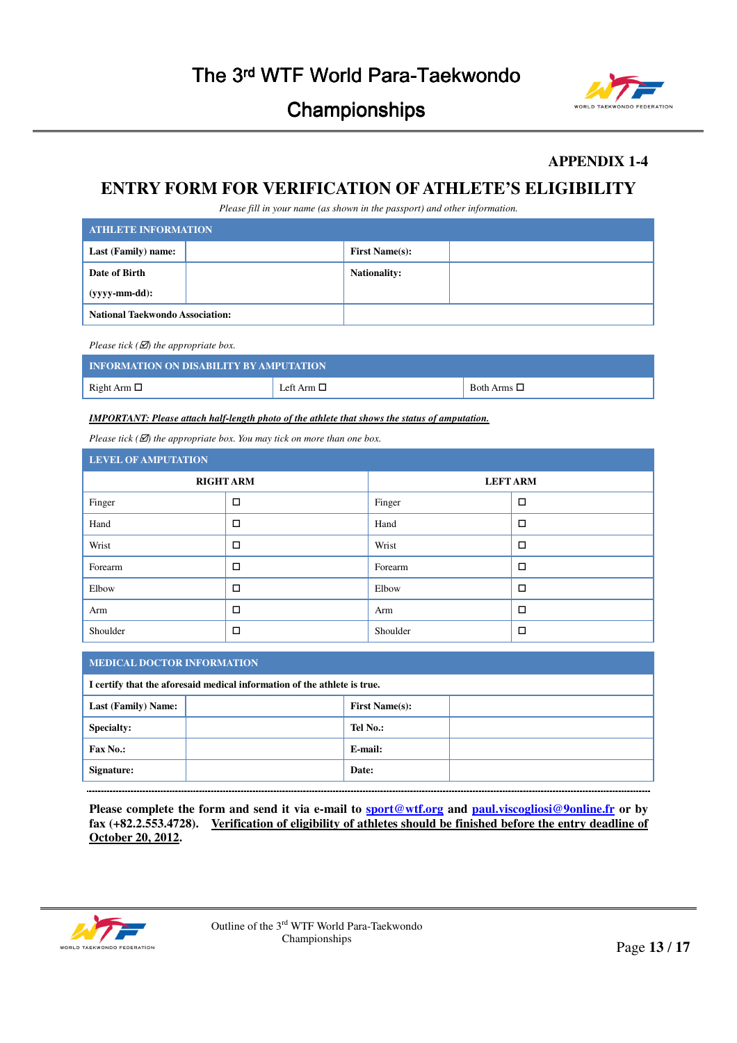

## **APPENDIX 1-4**

## **ENTRY FORM FOR VERIFICATION OF ATHLETE'S ELIGIBILITY**

*Please fill in your name (as shown in the passport) and other information.* 

| <b>ATHLETE INFORMATION</b>             |                       |  |  |  |  |
|----------------------------------------|-----------------------|--|--|--|--|
| Last (Family) name:                    | <b>First Name(s):</b> |  |  |  |  |
| Date of Birth                          | <b>Nationality:</b>   |  |  |  |  |
| (yyyy-mm-dd):                          |                       |  |  |  |  |
| <b>National Taekwondo Association:</b> |                       |  |  |  |  |

*Please tick (* $\overline{\mathcal{Q}}$ *) the appropriate box.* 

| <b>INFORMATION ON DISABILITY BY AMPUTATION</b> |                 |                     |  |  |  |
|------------------------------------------------|-----------------|---------------------|--|--|--|
| Right Arm $\square$                            | Left Arm $\Box$ | Both Arms $\square$ |  |  |  |

*IMPORTANT: Please attach half-length photo of the athlete that shows the status of amputation.*

*Please tick (* $\mathbb{Z}$ *) the appropriate box. You may tick on more than one box.* 

| <b>LEVEL OF AMPUTATION</b> |                  |                 |        |  |
|----------------------------|------------------|-----------------|--------|--|
|                            | <b>RIGHT ARM</b> | <b>LEFT ARM</b> |        |  |
| Finger                     | □                | Finger          | $\Box$ |  |
| Hand                       | □                | Hand            | $\Box$ |  |
| Wrist                      | □                | Wrist           | $\Box$ |  |
| Forearm                    | □                | Forearm         | $\Box$ |  |
| Elbow                      | □                | Elbow           | $\Box$ |  |
| Arm                        | □                | Arm             | $\Box$ |  |
| Shoulder                   | ◻                | Shoulder        | □      |  |

#### **MEDICAL DOCTOR INFORMATION**

| I certify that the aforesaid medical information of the athlete is true. |  |                       |  |  |
|--------------------------------------------------------------------------|--|-----------------------|--|--|
| <b>Last (Family) Name:</b>                                               |  | <b>First Name(s):</b> |  |  |
| <b>Specialty:</b>                                                        |  | Tel No.:              |  |  |
| <b>Fax No.:</b>                                                          |  | E-mail:               |  |  |
| Signature:                                                               |  | Date:                 |  |  |

**Please complete the form and send it via e-mail to sport@wtf.org and paul.viscogliosi@9online.fr or by fax (+82.2.553.4728). Verification of eligibility of athletes should be finished before the entry deadline of October 20, 2012.** 

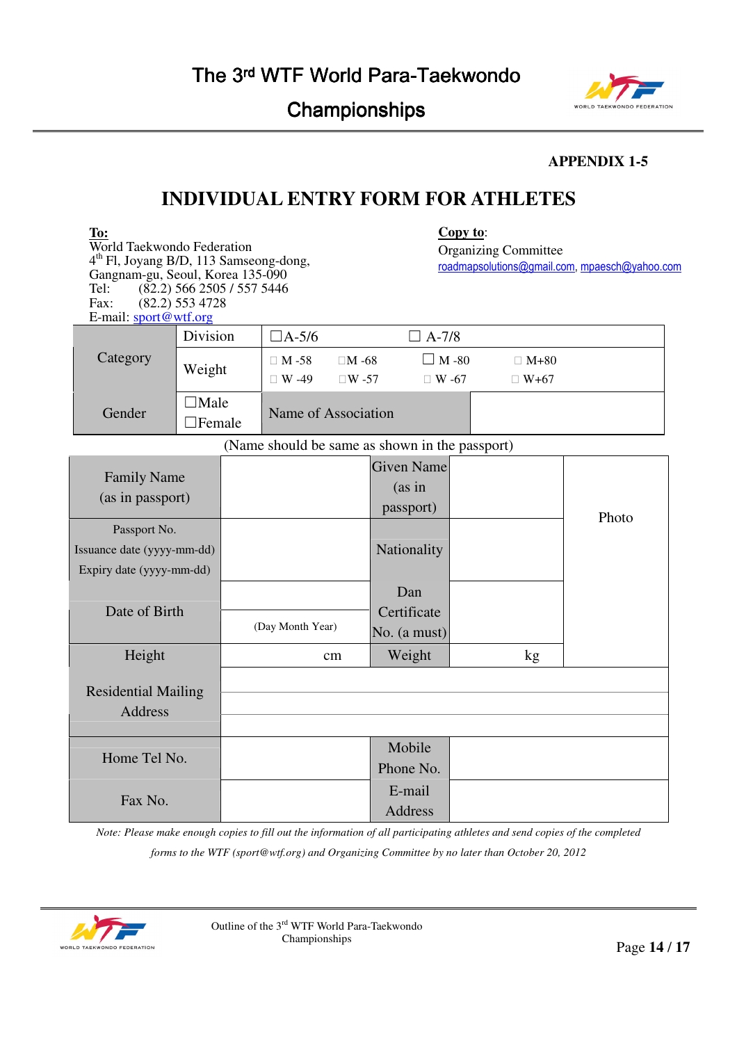

## **APPENDIX 1-5**

# **INDIVIDUAL ENTRY FORM FOR ATHLETES**

| To:<br>World Taekwondo Federation<br>4 <sup>th</sup> Fl, Joyang B/D, 113 Samseong-dong,<br>Gangnam-gu, Seoul, Korea 135-090<br>Tel:<br>Fax:<br>E-mail: sport@wtf.org | $(82.2)$ 566 2505 / 557 5446<br>$(82.2)$ 553 4728 |                  |                              |                                          |                                                | Copy to:                     | <b>Organizing Committee</b> | roadmapsolutions@gmail.com, mpaesch@yahoo.com |
|----------------------------------------------------------------------------------------------------------------------------------------------------------------------|---------------------------------------------------|------------------|------------------------------|------------------------------------------|------------------------------------------------|------------------------------|-----------------------------|-----------------------------------------------|
|                                                                                                                                                                      | Division                                          |                  | $\Box$ A-5/6<br>$\Box$ A-7/8 |                                          |                                                |                              |                             |                                               |
| Category                                                                                                                                                             | Weight                                            |                  | $\Box$ M-58<br>$\Box$ W -49  | $\Box M - 68$<br>$\Box W - 57$           |                                                | $\Box$ M -80<br>$\Box$ W -67 | $\Box$ M+80<br>$\Box$ W+67  |                                               |
| Gender                                                                                                                                                               | $\Box$ Male<br>$\Box$ Female                      |                  | Name of Association          |                                          |                                                |                              |                             |                                               |
|                                                                                                                                                                      |                                                   |                  |                              |                                          | (Name should be same as shown in the passport) |                              |                             |                                               |
| <b>Family Name</b><br>(as in passport)                                                                                                                               |                                                   |                  |                              | <b>Given Name</b><br>(as in<br>passport) |                                                |                              | Photo                       |                                               |
| Passport No.<br>Issuance date (yyyy-mm-dd)<br>Expiry date (yyyy-mm-dd)                                                                                               |                                                   |                  |                              | Nationality                              |                                                |                              |                             |                                               |
| Date of Birth                                                                                                                                                        |                                                   | (Day Month Year) |                              | Dan<br>Certificate<br>No. (a must)       |                                                |                              |                             |                                               |
| Height                                                                                                                                                               |                                                   | cm               |                              | Weight                                   |                                                | kg                           |                             |                                               |
| <b>Residential Mailing</b><br><b>Address</b>                                                                                                                         |                                                   |                  |                              |                                          |                                                |                              |                             |                                               |
| Home Tel No.                                                                                                                                                         |                                                   |                  |                              |                                          | Mobile<br>Phone No.                            |                              |                             |                                               |
| Fax No.                                                                                                                                                              |                                                   |                  |                              |                                          | E-mail<br><b>Address</b>                       |                              |                             |                                               |

*Note: Please make enough copies to fill out the information of all participating athletes and send copies of the completed* 

*forms to the WTF (sport@wtf.org) and Organizing Committee by no later than October 20, 2012* 

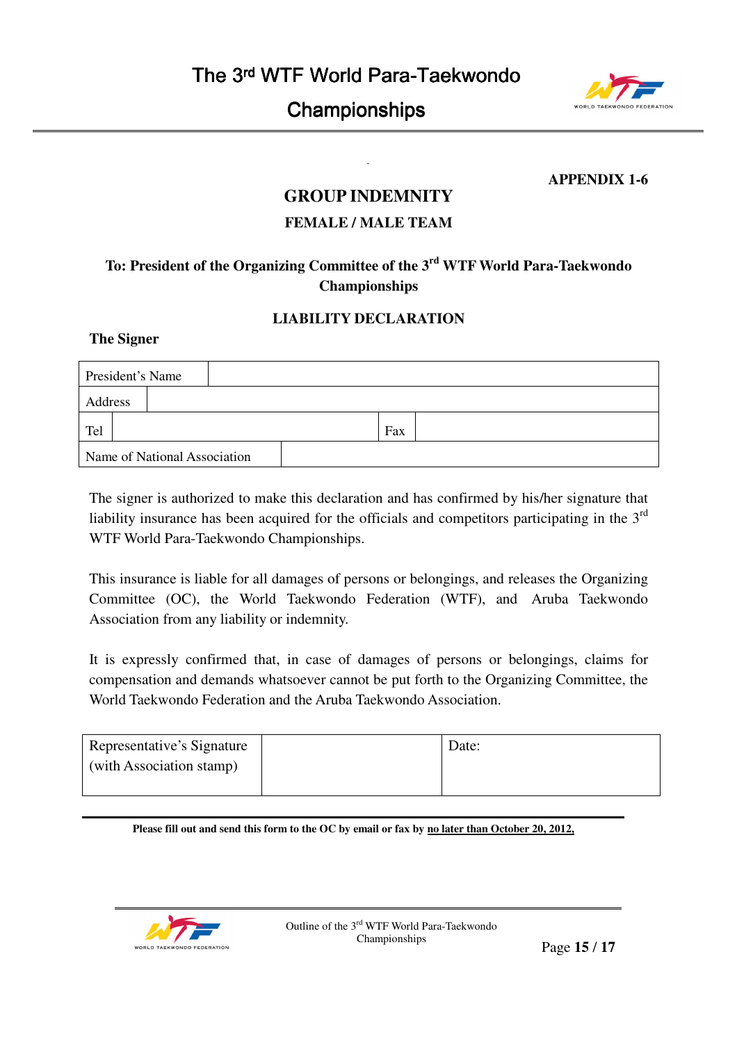

## **APPENDIX 1-6**

# **GROUP INDEMNITY**

*.* 

## **FEMALE / MALE TEAM**

## **To: President of the Organizing Committee of the 3rd WTF World Para-Taekwondo Championships**

## **LIABILITY DECLARATION**

## **The Signer**

| President's Name             |  |  |  |  |     |  |
|------------------------------|--|--|--|--|-----|--|
| Address                      |  |  |  |  |     |  |
| Tel                          |  |  |  |  | Fax |  |
| Name of National Association |  |  |  |  |     |  |

The signer is authorized to make this declaration and has confirmed by his/her signature that liability insurance has been acquired for the officials and competitors participating in the  $3<sup>rd</sup>$ WTF World Para-Taekwondo Championships.

This insurance is liable for all damages of persons or belongings, and releases the Organizing Committee (OC), the World Taekwondo Federation (WTF), and Aruba Taekwondo Association from any liability or indemnity.

It is expressly confirmed that, in case of damages of persons or belongings, claims for compensation and demands whatsoever cannot be put forth to the Organizing Committee, the World Taekwondo Federation and the Aruba Taekwondo Association.

| Representative's Signature | Date: |
|----------------------------|-------|
| (with Association stamp)   |       |
|                            |       |

**Please fill out and send this form to the OC by email or fax by no later than October 20, 2012,**

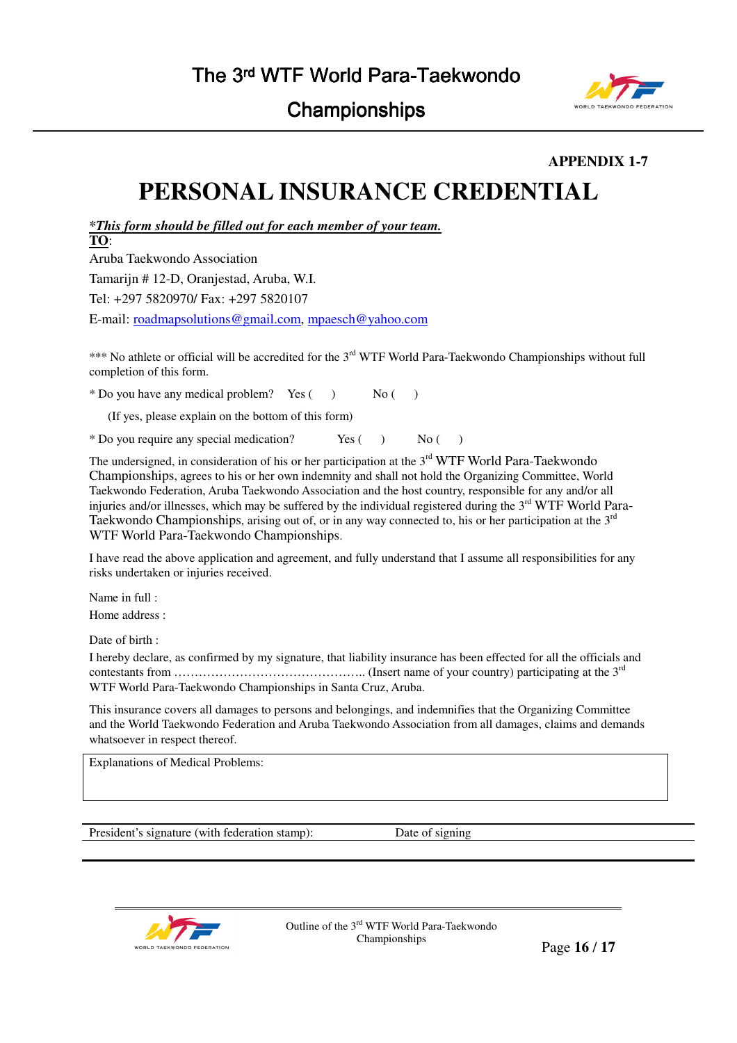

**APPENDIX 1-7** 

# **PERSONAL INSURANCE CREDENTIAL**

*\*This form should be filled out for each member of your team.*

**TO**:

Aruba Taekwondo Association Tamarijn # 12-D, Oranjestad, Aruba, W.I. Tel: +297 5820970/ Fax: +297 5820107 E-mail: roadmapsolutions@gmail.com, mpaesch@yahoo.com

\*\*\* No athlete or official will be accredited for the 3<sup>rd</sup> WTF World Para-Taekwondo Championships without full completion of this form.

 $*$  Do you have any medical problem? Yes ( $\overrightarrow{N}$ ) No ( $\overrightarrow{N}$ )

(If yes, please explain on the bottom of this form)

\* Do you require any special medication? Yes ( ) No ( )

The undersigned, in consideration of his or her participation at the 3<sup>rd</sup> WTF World Para-Taekwondo Championships, agrees to his or her own indemnity and shall not hold the Organizing Committee, World Taekwondo Federation, Aruba Taekwondo Association and the host country, responsible for any and/or all injuries and/or illnesses, which may be suffered by the individual registered during the 3<sup>rd</sup> WTF World Para-Taekwondo Championships, arising out of, or in any way connected to, his or her participation at the 3<sup>rd</sup> WTF World Para-Taekwondo Championships.

I have read the above application and agreement, and fully understand that I assume all responsibilities for any risks undertaken or injuries received.

Name in full :

Home address :

Date of birth :

I hereby declare, as confirmed by my signature, that liability insurance has been effected for all the officials and contestants from  $\ldots$   $\ldots$   $\ldots$   $\ldots$   $\ldots$   $\ldots$   $\ldots$   $\ldots$   $\ldots$   $\ldots$   $\ldots$   $\ldots$   $\ldots$   $\ldots$   $\ldots$   $\ldots$   $\ldots$   $\ldots$   $\ldots$   $\ldots$   $\ldots$   $\ldots$   $\ldots$   $\ldots$   $\ldots$   $\ldots$   $\ldots$   $\ldots$   $\ldots$   $\ldots$   $\ldots$   $\ldots$   $\ldots$   $\ldots$  WTF World Para-Taekwondo Championships in Santa Cruz, Aruba.

This insurance covers all damages to persons and belongings, and indemnifies that the Organizing Committee and the World Taekwondo Federation and Aruba Taekwondo Association from all damages, claims and demands whatsoever in respect thereof.

Explanations of Medical Problems:

President's signature (with federation stamp): Date of signing